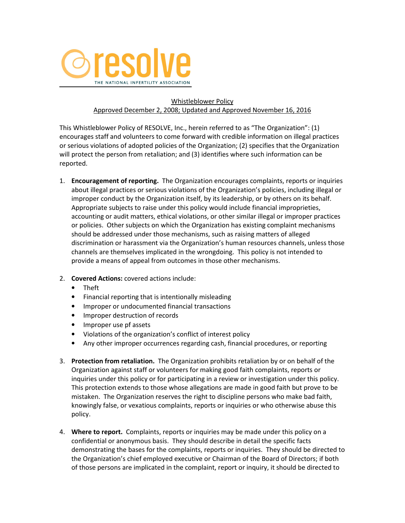

## Whistleblower Policy Approved December 2, 2008; Updated and Approved November 16, 2016

This Whistleblower Policy of RESOLVE, Inc., herein referred to as "The Organization": (1) encourages staff and volunteers to come forward with credible information on illegal practices or serious violations of adopted policies of the Organization; (2) specifies that the Organization will protect the person from retaliation; and (3) identifies where such information can be reported.

- 1. Encouragement of reporting. The Organization encourages complaints, reports or inquiries about illegal practices or serious violations of the Organization's policies, including illegal or improper conduct by the Organization itself, by its leadership, or by others on its behalf. Appropriate subjects to raise under this policy would include financial improprieties, accounting or audit matters, ethical violations, or other similar illegal or improper practices or policies. Other subjects on which the Organization has existing complaint mechanisms should be addressed under those mechanisms, such as raising matters of alleged discrimination or harassment via the Organization's human resources channels, unless those channels are themselves implicated in the wrongdoing. This policy is not intended to provide a means of appeal from outcomes in those other mechanisms.
- 2. Covered Actions: covered actions include:
	- Theft
	- Financial reporting that is intentionally misleading
	- Improper or undocumented financial transactions
	- Improper destruction of records
	- Improper use pf assets
	- Violations of the organization's conflict of interest policy
	- Any other improper occurrences regarding cash, financial procedures, or reporting
- 3. Protection from retaliation. The Organization prohibits retaliation by or on behalf of the Organization against staff or volunteers for making good faith complaints, reports or inquiries under this policy or for participating in a review or investigation under this policy. This protection extends to those whose allegations are made in good faith but prove to be mistaken. The Organization reserves the right to discipline persons who make bad faith, knowingly false, or vexatious complaints, reports or inquiries or who otherwise abuse this policy.
- 4. Where to report. Complaints, reports or inquiries may be made under this policy on a confidential or anonymous basis. They should describe in detail the specific facts demonstrating the bases for the complaints, reports or inquiries. They should be directed to the Organization's chief employed executive or Chairman of the Board of Directors; if both of those persons are implicated in the complaint, report or inquiry, it should be directed to